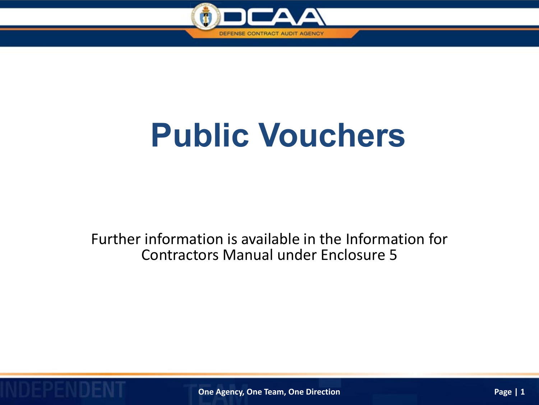

## **Public Vouchers**

Further information is available in the Information for Contractors Manual under Enclosure 5

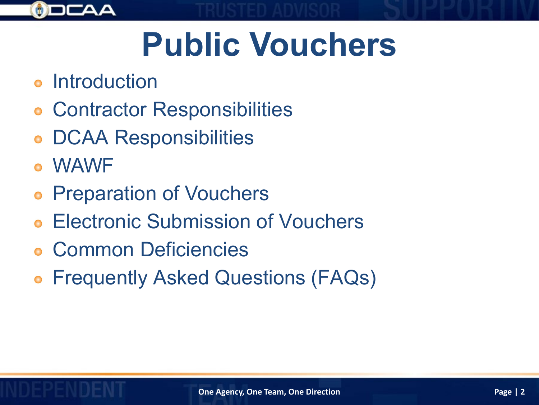

# **Public Vouchers**

- **Introduction**
- Contractor Responsibilities
- DCAA Responsibilities
- WAWF
- Preparation of Vouchers  $\bullet$
- Electronic Submission of Vouchers
- Common Deficiencies
- Frequently Asked Questions (FAQs)  $\bullet$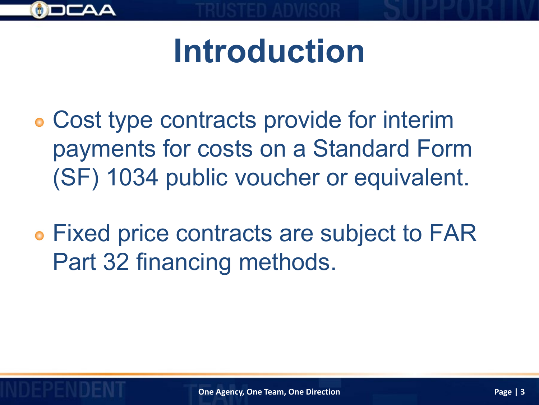

## **Introduction**

- Cost type contracts provide for interim payments for costs on a Standard Form (SF) 1034 public voucher or equivalent.
- Fixed price contracts are subject to FAR Part 32 financing methods.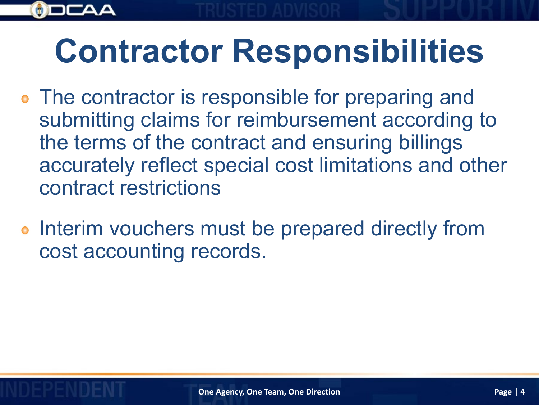## **Contractor Responsibilities**

- The contractor is responsible for preparing and submitting claims for reimbursement according to the terms of the contract and ensuring billings accurately reflect special cost limitations and other contract restrictions
- o Interim vouchers must be prepared directly from cost accounting records.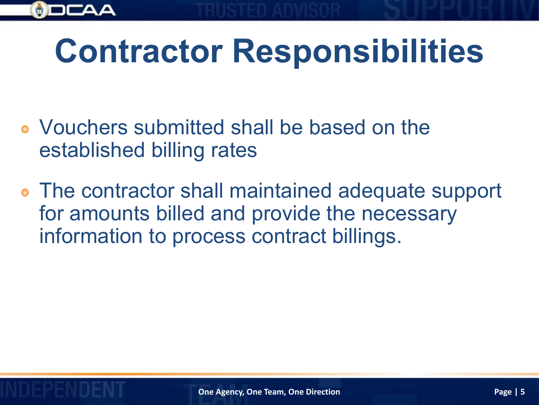# **Contractor Responsibilities**

- Vouchers submitted shall be based on the established billing rates
- The contractor shall maintained adequate support for amounts billed and provide the necessary information to process contract billings.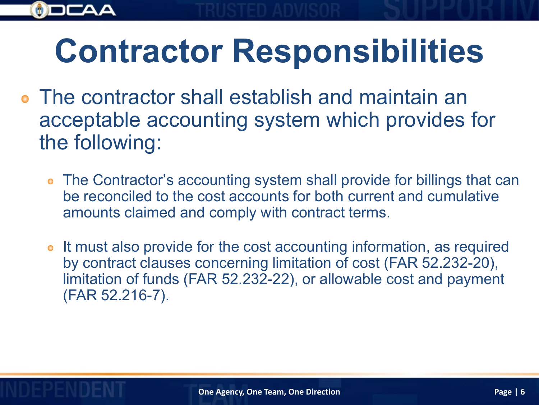# **Contractor Responsibilities**

- The contractor shall establish and maintain an acceptable accounting system which provides for the following:
	- The Contractor's accounting system shall provide for billings that can be reconciled to the cost accounts for both current and cumulative amounts claimed and comply with contract terms.
	- It must also provide for the cost accounting information, as required by contract clauses concerning limitation of cost (FAR 52.232-20), limitation of funds (FAR 52.232-22), or allowable cost and payment (FAR 52.216-7).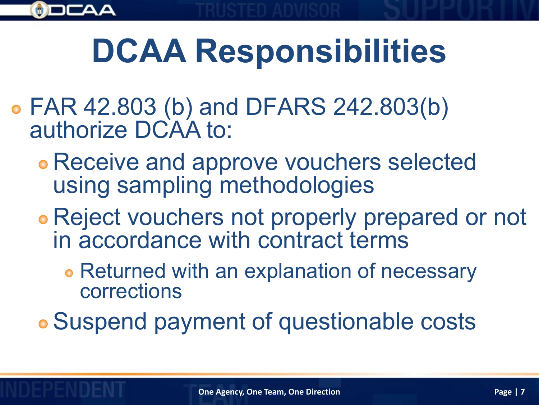

# **DCAA Responsibilities**

- FAR 42.803 (b) and DFARS 242.803(b) authorize DCAA to:
	- Receive and approve vouchers selected using sampling methodologies
	- Reject vouchers not properly prepared or not in accordance with contract terms
		- **Returned with an explanation of necessary** corrections

Suspend payment of questionable costs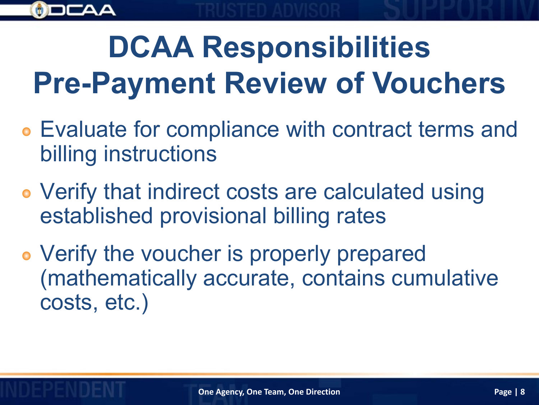

## **DCAA Responsibilities Pre-Payment Review of Vouchers**

- Evaluate for compliance with contract terms and billing instructions
- Verify that indirect costs are calculated using established provisional billing rates
- Verify the voucher is properly prepared (mathematically accurate, contains cumulative costs, etc.)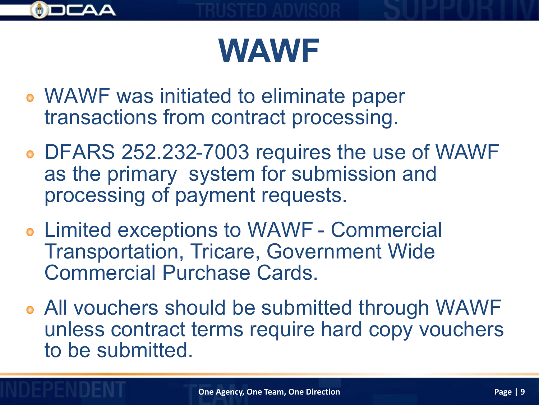

- WAWF was initiated to eliminate paper transactions from contract processing.
- DFARS 252.232-7003 requires the use of WAWF as the primary system for submission and processing of payment requests.
- Limited exceptions to WAWF Commercial Transportation, Tricare, Government Wide Commercial Purchase Cards.
- All vouchers should be submitted through WAWF unless contract terms require hard copy vouchers to be submitted.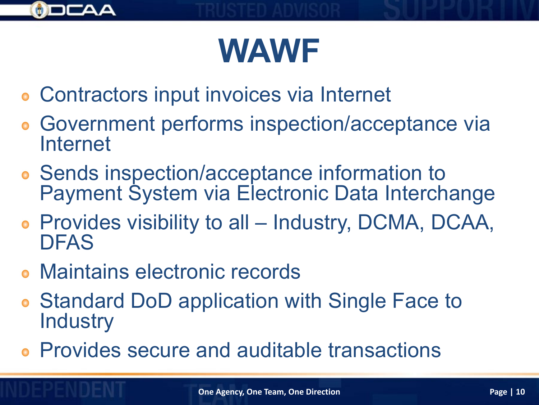

- Contractors input invoices via Internet
- Government performs inspection/acceptance via Internet
- Sends inspection/acceptance information to Payment System via Electronic Data Interchange
- Provides visibility to all Industry, DCMA, DCAA, DFAS
- Maintains electronic records
- **Standard DoD application with Single Face to Industry**
- Provides secure and auditable transactions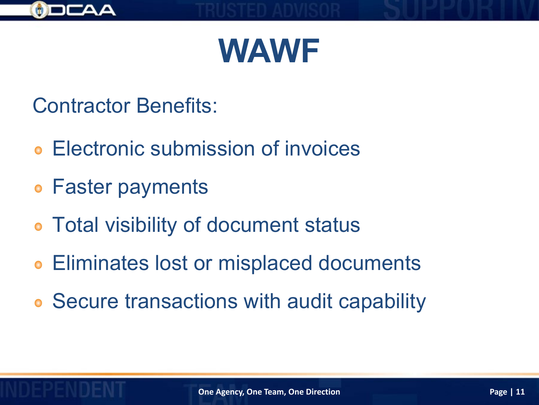

Contractor Benefits:

- Electronic submission of invoices
- Faster payments
- Total visibility of document status
- Eliminates lost or misplaced documents
- Secure transactions with audit capability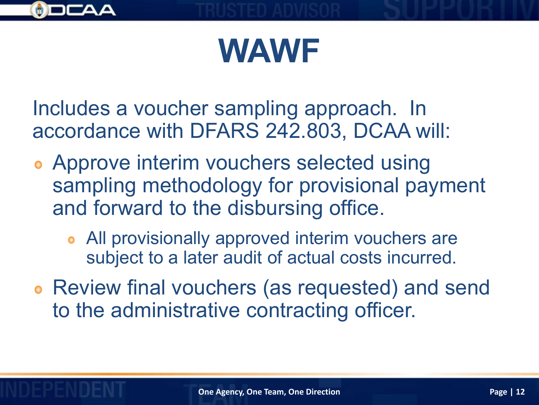

Includes a voucher sampling approach. In accordance with DFARS 242.803, DCAA will:

- Approve interim vouchers selected using sampling methodology for provisional payment and forward to the disbursing office.
	- All provisionally approved interim vouchers are subject to a later audit of actual costs incurred.
- Review final vouchers (as requested) and send to the administrative contracting officer.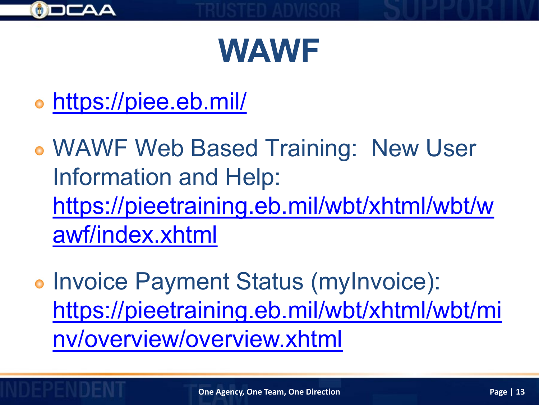

- <https://piee.eb.mil/>
- WAWF Web Based Training: New User Information and Help: [https://pieetraining.eb.mil/wbt/xhtml/wbt/w](https://pieetraining.eb.mil/wbt/xhtml/wbt/wawf/index.xhtml) awf/index.xhtml
- Invoice Payment Status (myInvoice): [https://pieetraining.eb.mil/wbt/xhtml/wbt/mi](https://pieetraining.eb.mil/wbt/xhtml/wbt/minv/overview/overview.xhtml) nv/overview/overview.xhtml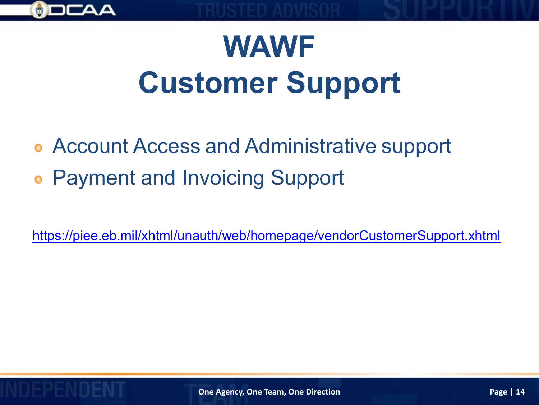

## **WAWF Customer Support**

- Account Access and Administrative support
- Payment and Invoicing Support  $\bullet$

<https://piee.eb.mil/xhtml/unauth/web/homepage/vendorCustomerSupport.xhtml>

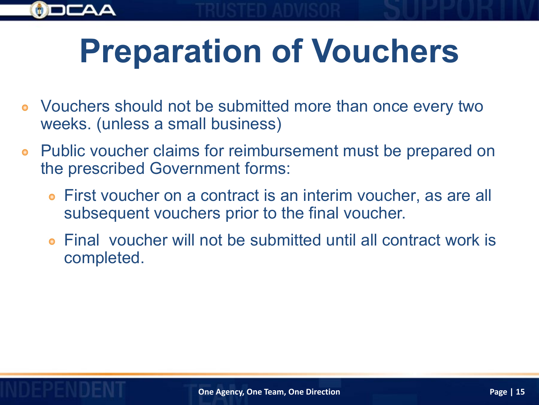

- Vouchers should not be submitted more than once every two weeks. (unless a small business)
- Public voucher claims for reimbursement must be prepared on the prescribed Government forms:
	- First voucher on a contract is an interim voucher, as are all subsequent vouchers prior to the final voucher.
	- Final voucher will not be submitted until all contract work is completed.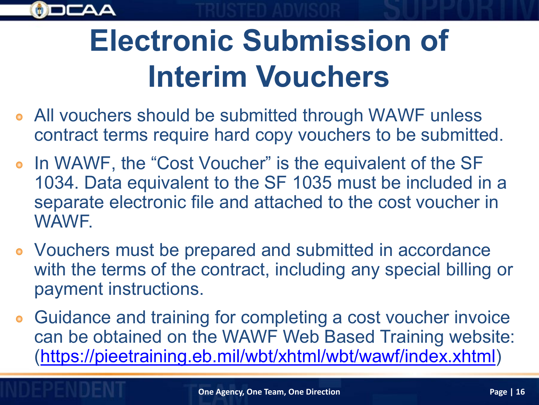

## **Electronic Submission of Interim Vouchers**

- All vouchers should be submitted through WAWF unless contract terms require hard copy vouchers to be submitted.
- In WAWF, the "Cost Voucher" is the equivalent of the SF 1034. Data equivalent to the SF 1035 must be included in a separate electronic file and attached to the cost voucher in WAWF.
- Vouchers must be prepared and submitted in accordance with the terms of the contract, including any special billing or payment instructions.
- Guidance and training for completing a cost voucher invoice  $\bullet$ can be obtained on the WAWF Web Based Training website: [\(https://pieetraining.eb.mil/wbt/xhtml/wbt/wawf/index.xhtml](https://pieetraining.eb.mil/wbt/xhtml/wbt/wawf/index.xhtml))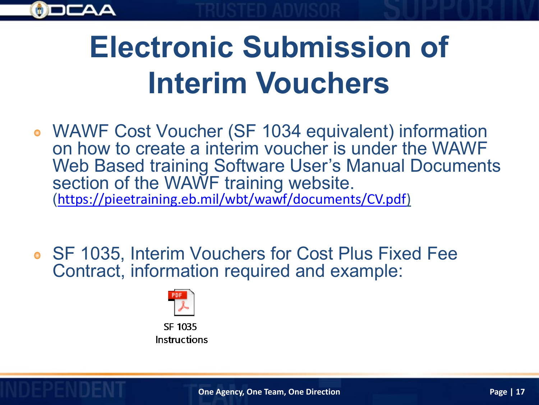

## **Electronic Submission of Interim Vouchers**

- WAWF Cost Voucher (SF 1034 equivalent) information on how to create a interim voucher is under the WAWF Web Based training Software User's Manual Documents section of the WAWF training website. ([https://pieetraining.eb.mil/wbt/wawf/documents/CV.pdf\)](https://pieetraining.eb.mil/wbt/wawf/documents/CV.pdf)
- SF 1035, Interim Vouchers for Cost Plus Fixed Fee Contract, information required and example:



Instructions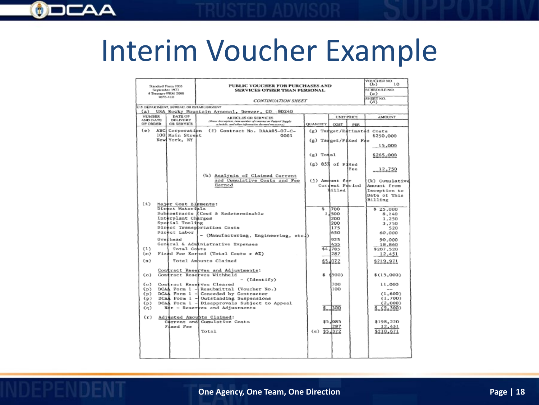#### $\odot$

#### Interim Voucher Example

| PUBLIC VOUCHER FOR PURCHASES AND<br>Standard Form 1035<br>September 1973<br><b>SERVICES OTHER THAN PERSONAL</b><br>4 Treatury FRM 2000<br>1035-110<br>CONTINUATION SHEET                                                      |                                                                                                                                                                                                                                                                                                                                                                                                                                                                                                                                                                                                                      |                          |                                                                                                                                           |            | VOUCHER NO.<br>10<br>(b)<br>SCHEDULE NO.<br>(c)<br>SHEET NO.<br>(d)                                                                                                                                                                |
|-------------------------------------------------------------------------------------------------------------------------------------------------------------------------------------------------------------------------------|----------------------------------------------------------------------------------------------------------------------------------------------------------------------------------------------------------------------------------------------------------------------------------------------------------------------------------------------------------------------------------------------------------------------------------------------------------------------------------------------------------------------------------------------------------------------------------------------------------------------|--------------------------|-------------------------------------------------------------------------------------------------------------------------------------------|------------|------------------------------------------------------------------------------------------------------------------------------------------------------------------------------------------------------------------------------------|
| U.S. DEPARTMENT, BUREAU, OR ESTABLISHMENT<br>(a) USA Rocky Mountain Arsenal, Denver, CO .: 80240                                                                                                                              |                                                                                                                                                                                                                                                                                                                                                                                                                                                                                                                                                                                                                      |                          |                                                                                                                                           |            |                                                                                                                                                                                                                                    |
| <b>NUMBER</b><br><b>DATE OF</b><br><b>UNIT PRICE</b>                                                                                                                                                                          |                                                                                                                                                                                                                                                                                                                                                                                                                                                                                                                                                                                                                      |                          |                                                                                                                                           |            | <b>AMOUNT</b>                                                                                                                                                                                                                      |
| DELIVERY<br>AND DATE<br>OF ORDER<br>OR SERVICE                                                                                                                                                                                | <b>ARTICLES OR SERVICES</b><br>(Ener description, how sumber of coupons or Federal Supply<br>schedule, and other information decound measures).                                                                                                                                                                                                                                                                                                                                                                                                                                                                      | QUANTITY                 | COST                                                                                                                                      | <b>PER</b> |                                                                                                                                                                                                                                    |
| ABC Corporation<br>(e)<br>100 Main Street                                                                                                                                                                                     | (f) Contract No. DAAA05-07-C-<br>0001                                                                                                                                                                                                                                                                                                                                                                                                                                                                                                                                                                                |                          |                                                                                                                                           |            | (g) Tanget/Entimated Costs<br>\$250,000                                                                                                                                                                                            |
| NewlYork, NY                                                                                                                                                                                                                  |                                                                                                                                                                                                                                                                                                                                                                                                                                                                                                                                                                                                                      | $(g)$ Target/Fixed Fre   |                                                                                                                                           |            | 15,000                                                                                                                                                                                                                             |
|                                                                                                                                                                                                                               |                                                                                                                                                                                                                                                                                                                                                                                                                                                                                                                                                                                                                      | (g) Todal                |                                                                                                                                           |            | \$265,000                                                                                                                                                                                                                          |
|                                                                                                                                                                                                                               |                                                                                                                                                                                                                                                                                                                                                                                                                                                                                                                                                                                                                      | $(a)$ 85% of Fixed       |                                                                                                                                           | Fee        | 12,750                                                                                                                                                                                                                             |
|                                                                                                                                                                                                                               | (h) Analysis of Claimed Current<br>and Cumulative Costs and Fee<br>Earned                                                                                                                                                                                                                                                                                                                                                                                                                                                                                                                                            | (1) Amdunt fdr           | Current Period<br><b>Billed</b>                                                                                                           |            | (k) Cumulative<br>Amount from<br>Inception to<br>Date of This<br>Billing                                                                                                                                                           |
| (1)<br>Major Cost Elements:<br>Direct Materials<br>Interplant Charges<br>Special Tooling<br>Direct Labor<br>Overhead<br>(1)<br>Total Coats<br>(m)<br>(n)<br>(a)<br>(a)<br>(p)<br>(p)<br>(p)<br>(p)<br>(a)<br>(r)<br>Fixed Fee | Subcontracts (Cost & Redeterminable<br>Direct Transportation Costs<br>- (Manufacturing, Engineering, etc.)<br>General & Administrative Expenses<br>Fixed Fee Earhed (Total Costs x 6%)<br>Total Ambunts Claimed<br>Contract Reserves and Adjustments:<br>Contract Reserves Withheld<br>- (Identify)<br>Contract Reserves Cleared<br>DCAA Form 1 - Resubmittal (Voucher No.)<br>DCAA Form 1 - Conceded by Contractor<br>DCAA Form 1 - Outstanding Suspensions<br>DCAA Form 1 - Disapprovals Subject to Appeal<br>Not - Reserves and Adjustments<br>Adjusted Amounts Claimed:<br>Carrent and Cumulative Costs<br>Total | s<br>s.<br>$(s)$ \$5,372 | 700<br>1,500<br>200<br>200<br>175<br>650<br>925<br>435<br>\$4,785<br>287<br>\$5,072<br>(500)<br>700<br>100<br>$2 - 300$<br>\$5,085<br>287 |            | \$ 25,000<br>8,140<br>1,250<br>3,750<br>520<br>60,000<br>90,000<br>18,860<br>\$207,520<br>12,451<br>\$219,971<br>\$(15,000)<br>11,000<br>$- -$<br>(1,600)<br>(1, 700)<br>(2,000)<br>\$_(9,300)<br>\$198,220<br>12,451<br>\$210,671 |
|                                                                                                                                                                                                                               |                                                                                                                                                                                                                                                                                                                                                                                                                                                                                                                                                                                                                      |                          |                                                                                                                                           |            |                                                                                                                                                                                                                                    |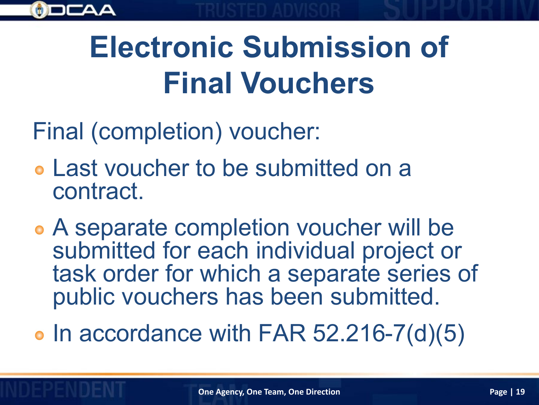

## **Electronic Submission of Final Vouchers**

Final (completion) voucher:

- Last voucher to be submitted on a contract.
- A separate completion voucher will be submitted for each individual project or task order for which a separate series of public vouchers has been submitted.
- $\bullet$  In accordance with FAR 52.216-7(d)(5)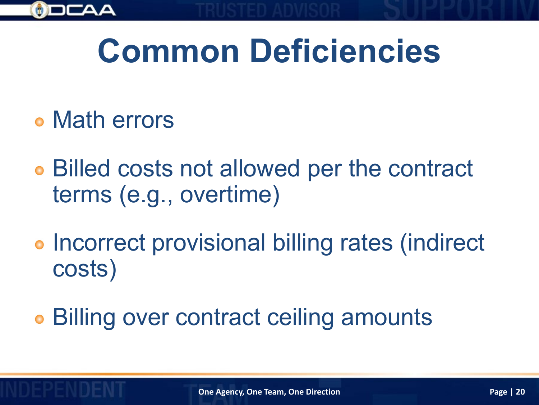

- Math errors
- Billed costs not allowed per the contract terms (e.g., overtime)
- **Incorrect provisional billing rates (indirect** costs)
- Billing over contract ceiling amounts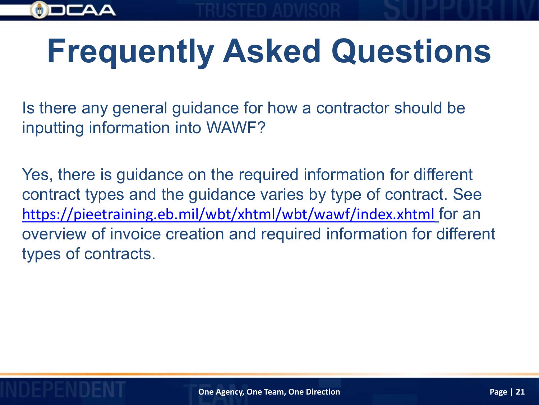

# **Frequently Asked Questions**

Is there any general guidance for how a contractor should be inputting information into WAWF?

Yes, there is guidance on the required information for different contract types and the guidance varies by type of contract. See <https://pieetraining.eb.mil/wbt/xhtml/wbt/wawf/index.xhtml> for an overview of invoice creation and required information for different types of contracts.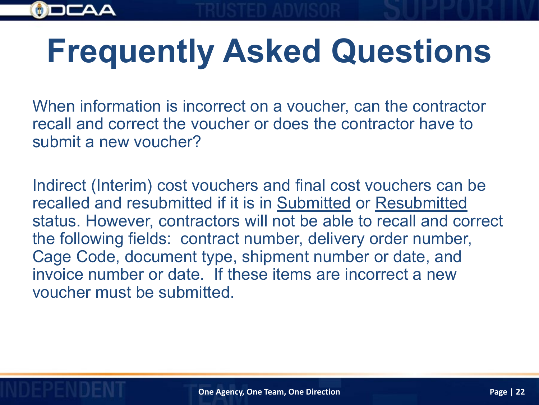

# **Frequently Asked Questions**

When information is incorrect on a voucher, can the contractor recall and correct the voucher or does the contractor have to submit a new voucher?

Indirect (Interim) cost vouchers and final cost vouchers can be recalled and resubmitted if it is in Submitted or Resubmitted status. However, contractors will not be able to recall and correct the following fields: contract number, delivery order number, Cage Code, document type, shipment number or date, and invoice number or date. If these items are incorrect a new voucher must be submitted.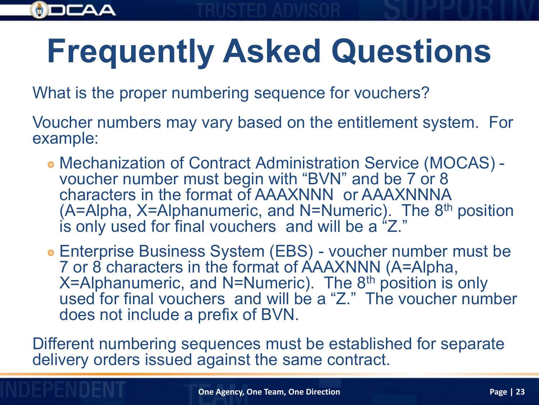# **Frequently Asked Questions**

What is the proper numbering sequence for vouchers?

Voucher numbers may vary based on the entitlement system. For example:

Mechanization of Contract Administration Service (MOCAS) - voucher number must begin with "BVN" and be 7 or 8 characters in the format of AAAXNNN or AAAXNNNA (A=Alpha, X=Alphanumeric, and N=Numeric). The 8<sup>th</sup> position is only used for final vouchers and will be a "Z."

Enterprise Business System (EBS) - voucher number must be 7 or 8 characters in the format of AAAXNNN (A=Alpha,  $X=$ Alphanumeric, and N=Numeric). The 8<sup>th</sup> position is only used for final vouchers and will be a "Z." The voucher number does not include a prefix of BVN.

Different numbering sequences must be established for separate delivery orders issued against the same contract.